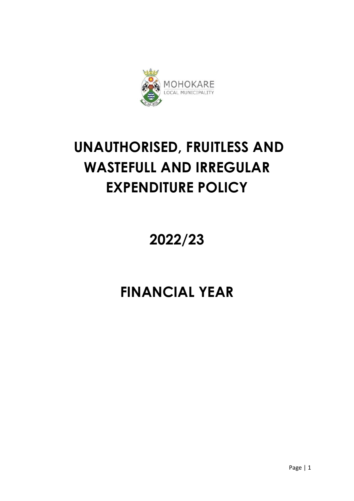

# **UNAUTHORISED, FRUITLESS AND WASTEFULL AND IRREGULAR EXPENDITURE POLICY**

**2022/23**

## **FINANCIAL YEAR**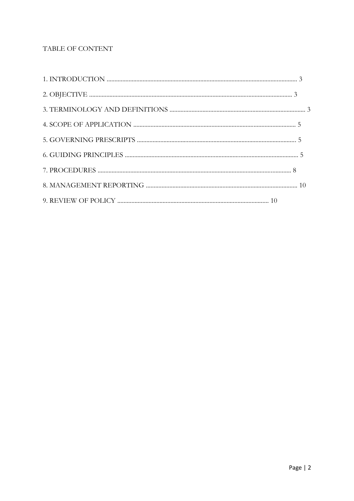## TABLE OF CONTENT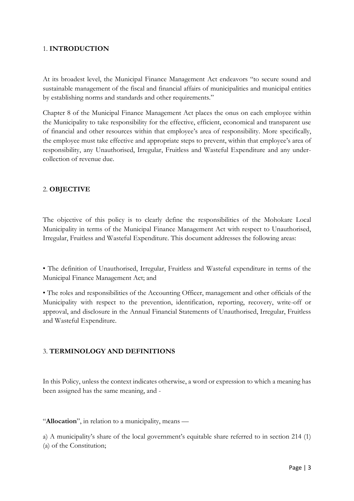## 1. **INTRODUCTION**

At its broadest level, the Municipal Finance Management Act endeavors "to secure sound and sustainable management of the fiscal and financial affairs of municipalities and municipal entities by establishing norms and standards and other requirements."

Chapter 8 of the Municipal Finance Management Act places the onus on each employee within the Municipality to take responsibility for the effective, efficient, economical and transparent use of financial and other resources within that employee's area of responsibility. More specifically, the employee must take effective and appropriate steps to prevent, within that employee's area of responsibility, any Unauthorised, Irregular, Fruitless and Wasteful Expenditure and any undercollection of revenue due.

## 2. **OBJECTIVE**

The objective of this policy is to clearly define the responsibilities of the Mohokare Local Municipality in terms of the Municipal Finance Management Act with respect to Unauthorised, Irregular, Fruitless and Wasteful Expenditure. This document addresses the following areas:

• The definition of Unauthorised, Irregular, Fruitless and Wasteful expenditure in terms of the Municipal Finance Management Act; and

• The roles and responsibilities of the Accounting Officer, management and other officials of the Municipality with respect to the prevention, identification, reporting, recovery, write-off or approval, and disclosure in the Annual Financial Statements of Unauthorised, Irregular, Fruitless and Wasteful Expenditure.

## 3. **TERMINOLOGY AND DEFINITIONS**

In this Policy, unless the context indicates otherwise, a word or expression to which a meaning has been assigned has the same meaning, and -

"**Allocation**", in relation to a municipality, means —

a) A municipality's share of the local government's equitable share referred to in section 214 (1) (a) of the Constitution;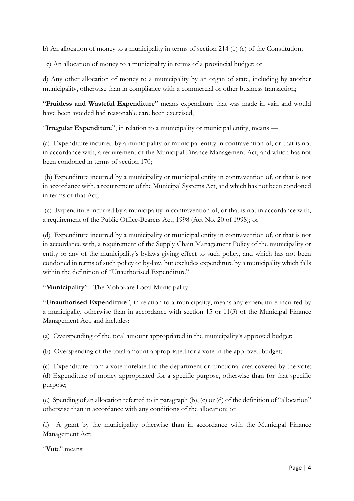b) An allocation of money to a municipality in terms of section 214 (1) (c) of the Constitution;

c) An allocation of money to a municipality in terms of a provincial budget; or

d) Any other allocation of money to a municipality by an organ of state, including by another municipality, otherwise than in compliance with a commercial or other business transaction;

"**Fruitless and Wasteful Expenditure**" means expenditure that was made in vain and would have been avoided had reasonable care been exercised;

"**Irregular Expenditure**", in relation to a municipality or municipal entity, means —

(a) Expenditure incurred by a municipality or municipal entity in contravention of, or that is not in accordance with, a requirement of the Municipal Finance Management Act, and which has not been condoned in terms of section 170;

(b) Expenditure incurred by a municipality or municipal entity in contravention of, or that is not in accordance with, a requirement of the Municipal Systems Act, and which has not been condoned in terms of that Act;

(c) Expenditure incurred by a municipality in contravention of, or that is not in accordance with, a requirement of the Public Office-Bearers Act, 1998 (Act No. 20 of 1998); or

(d) Expenditure incurred by a municipality or municipal entity in contravention of, or that is not in accordance with, a requirement of the Supply Chain Management Policy of the municipality or entity or any of the municipality's bylaws giving effect to such policy, and which has not been condoned in terms of such policy or by-law, but excludes expenditure by a municipality which falls within the definition of "Unauthorised Expenditure"

"**Municipality**" - The Mohokare Local Municipality

"**Unauthorised Expenditure**", in relation to a municipality, means any expenditure incurred by a municipality otherwise than in accordance with section 15 or 11(3) of the Municipal Finance Management Act, and includes:

(a) Overspending of the total amount appropriated in the municipality's approved budget;

(b) Overspending of the total amount appropriated for a vote in the approved budget;

(c) Expenditure from a vote unrelated to the department or functional area covered by the vote; (d) Expenditure of money appropriated for a specific purpose, otherwise than for that specific purpose;

(e) Spending of an allocation referred to in paragraph (b), (c) or (d) of the definition of "allocation" otherwise than in accordance with any conditions of the allocation; or

(f) A grant by the municipality otherwise than in accordance with the Municipal Finance Management Act;

"**Vot**e" means: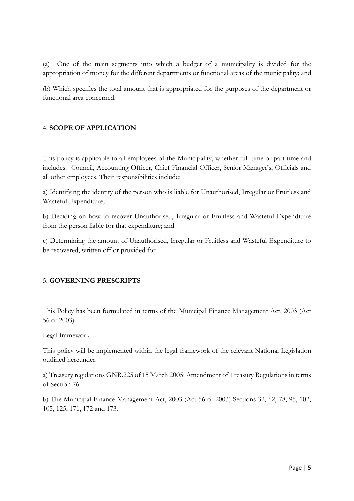(a) One of the main segments into which a budget of a municipality is divided for the appropriation of money for the different departments or functional areas of the municipality; and

(b) Which specifies the total amount that is appropriated for the purposes of the department or functional area concerned.

## 4. **SCOPE OF APPLICATION**

This policy is applicable to all employees of the Municipality, whether full-time or part-time and includes: Council, Accounting Officer, Chief Financial Officer, Senior Manager's, Officials and all other employees. Their responsibilities include:

a) Identifying the identity of the person who is liable for Unauthorised, Irregular or Fruitless and Wasteful Expenditure;

b) Deciding on how to recover Unauthorised, Irregular or Fruitless and Wasteful Expenditure from the person liable for that expenditure; and

c) Determining the amount of Unauthorised, Irregular or Fruitless and Wasteful Expenditure to be recovered, written off or provided for.

## 5. **GOVERNING PRESCRIPTS**

This Policy has been formulated in terms of the Municipal Finance Management Act, 2003 (Act 56 of 2003).

#### Legal framework

This policy will be implemented within the legal framework of the relevant National Legislation outlined hereunder.

a) Treasury regulations GNR.225 of 15 March 2005: Amendment of Treasury Regulations in terms of Section 76

b) The Municipal Finance Management Act, 2003 (Act 56 of 2003) Sections 32, 62, 78, 95, 102, 105, 125, 171, 172 and 173.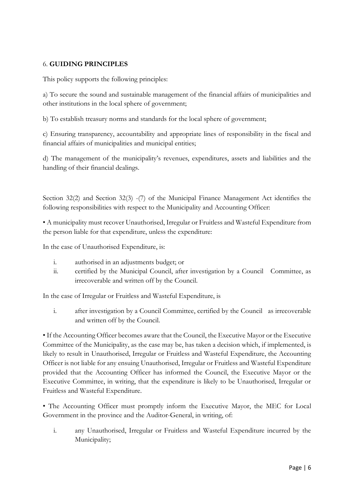## 6. **GUIDING PRINCIPLES**

This policy supports the following principles:

a) To secure the sound and sustainable management of the financial affairs of municipalities and other institutions in the local sphere of government;

b) To establish treasury norms and standards for the local sphere of government;

c) Ensuring transparency, accountability and appropriate lines of responsibility in the fiscal and financial affairs of municipalities and municipal entities;

d) The management of the municipality's revenues, expenditures, assets and liabilities and the handling of their financial dealings.

Section 32(2) and Section 32(3) -(7) of the Municipal Finance Management Act identifies the following responsibilities with respect to the Municipality and Accounting Officer:

• A municipality must recover Unauthorised, Irregular or Fruitless and Wasteful Expenditure from the person liable for that expenditure, unless the expenditure:

In the case of Unauthorised Expenditure, is:

- i. authorised in an adjustments budget; or
- ii. certified by the Municipal Council, after investigation by a Council Committee, as irrecoverable and written off by the Council.

In the case of Irregular or Fruitless and Wasteful Expenditure, is

i. after investigation by a Council Committee, certified by the Council as irrecoverable and written off by the Council.

• If the Accounting Officer becomes aware that the Council, the Executive Mayor or the Executive Committee of the Municipality, as the case may be, has taken a decision which, if implemented, is likely to result in Unauthorised, Irregular or Fruitless and Wasteful Expenditure, the Accounting Officer is not liable for any ensuing Unauthorised, Irregular or Fruitless and Wasteful Expenditure provided that the Accounting Officer has informed the Council, the Executive Mayor or the Executive Committee, in writing, that the expenditure is likely to be Unauthorised, Irregular or Fruitless and Wasteful Expenditure.

• The Accounting Officer must promptly inform the Executive Mayor, the MEC for Local Government in the province and the Auditor-General, in writing, of:

i. any Unauthorised, Irregular or Fruitless and Wasteful Expenditure incurred by the Municipality;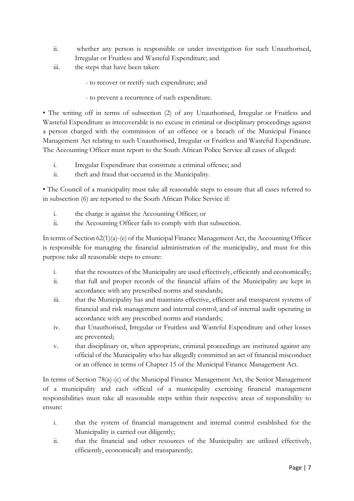- ii. whether any person is responsible or under investigation for such Unauthorised, Irregular or Fruitless and Wasteful Expenditure; and
- iii. the steps that have been taken:
	- to recover or rectify such expenditure; and
	- to prevent a recurrence of such expenditure.

• The writing off in terms of subsection (2) of any Unauthorised, Irregular or Fruitless and Wasteful Expenditure as irrecoverable is no excuse in criminal or disciplinary proceedings against a person charged with the commission of an offence or a breach of the Municipal Finance Management Act relating to such Unauthorised, Irregular or Fruitless and Wasteful Expenditure. The Accounting Officer must report to the South African Police Service all cases of alleged:

- i. Irregular Expenditure that constitute a criminal offence; and
- ii. theft and fraud that occurred in the Municipality.

• The Council of a municipality must take all reasonable steps to ensure that all cases referred to in subsection (6) are reported to the South African Police Service if:

- i. the charge is against the Accounting Officer; or
- ii. the Accounting Officer fails to comply with that subsection.

In terms of Section 62(1)(a)-(e) of the Municipal Finance Management Act, the Accounting Officer is responsible for managing the financial administration of the municipality, and must for this purpose take all reasonable steps to ensure:

- i. that the resources of the Municipality are used effectively, efficiently and economically;
- ii. that full and proper records of the financial affairs of the Municipality are kept in accordance with any prescribed norms and standards;
- iii. that the Municipality has and maintains effective, efficient and transparent systems of financial and risk management and internal control; and of internal audit operating in accordance with any prescribed norms and standards;
- iv. that Unauthorised, Irregular or Fruitless and Wasteful Expenditure and other losses are prevented;
- v. that disciplinary or, when appropriate, criminal proceedings are instituted against any official of the Municipality who has allegedly committed an act of financial misconduct or an offence in terms of Chapter 15 of the Municipal Finance Management Act.

In terms of Section 78(a)-(c) of the Municipal Finance Management Act, the Senior Management of a municipality and each official of a municipality exercising financial management responsibilities must take all reasonable steps within their respective areas of responsibility to ensure:

- i. that the system of financial management and internal control established for the Municipality is carried out diligently;
- ii. that the financial and other resources of the Municipality are utilized effectively, efficiently, economically and transparently;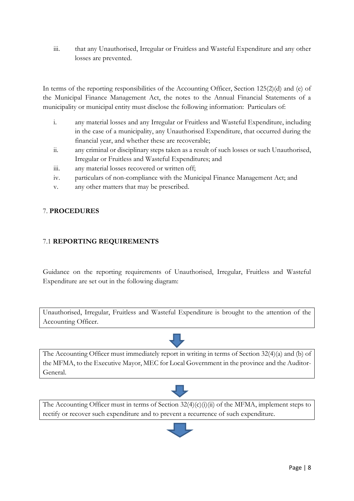iii. that any Unauthorised, Irregular or Fruitless and Wasteful Expenditure and any other losses are prevented.

In terms of the reporting responsibilities of the Accounting Officer, Section 125(2)(d) and (e) of the Municipal Finance Management Act, the notes to the Annual Financial Statements of a municipality or municipal entity must disclose the following information: Particulars of:

- i. any material losses and any Irregular or Fruitless and Wasteful Expenditure, including in the case of a municipality, any Unauthorised Expenditure, that occurred during the financial year, and whether these are recoverable;
- ii. any criminal or disciplinary steps taken as a result of such losses or such Unauthorised, Irregular or Fruitless and Wasteful Expenditures; and
- iii. any material losses recovered or written off;
- iv. particulars of non-compliance with the Municipal Finance Management Act; and
- v. any other matters that may be prescribed.

## 7. **PROCEDURES**

## 7.1 **REPORTING REQUIREMENTS**

Guidance on the reporting requirements of Unauthorised, Irregular, Fruitless and Wasteful Expenditure are set out in the following diagram:

Unauthorised, Irregular, Fruitless and Wasteful Expenditure is brought to the attention of the Accounting Officer.



The Accounting Officer must immediately report in writing in terms of Section 32(4)(a) and (b) of the MFMA, to the Executive Mayor, MEC for Local Government in the province and the Auditor-General.



The Accounting Officer must in terms of Section  $32(4)(c)(i)(ii)$  of the MFMA, implement steps to rectify or recover such expenditure and to prevent a recurrence of such expenditure.

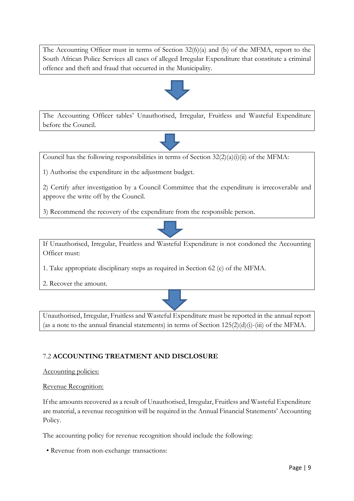The Accounting Officer must in terms of Section 32(6)(a) and (b) of the MFMA, report to the South African Police Services all cases of alleged Irregular Expenditure that constitute a criminal offence and theft and fraud that occurred in the Municipality.



The Accounting Officer tables' Unauthorised, Irregular, Fruitless and Wasteful Expenditure before the Council.



Council has the following responsibilities in terms of Section  $32(2)(a)(i)(ii)$  of the MFMA:

1) Authorise the expenditure in the adjustment budget.

2) Certify after investigation by a Council Committee that the expenditure is irrecoverable and approve the write off by the Council.

3) Recommend the recovery of the expenditure from the responsible person.



If Unauthorised, Irregular, Fruitless and Wasteful Expenditure is not condoned the Accounting Officer must:

1. Take appropriate disciplinary steps as required in Section 62 (e) of the MFMA.

2. Recover the amount.



Unauthorised, Irregular, Fruitless and Wasteful Expenditure must be reported in the annual report (as a note to the annual financial statements) in terms of Section  $125(2)(d)(i)$ -(iii) of the MFMA.

## 7.2 **ACCOUNTING TREATMENT AND DISCLOSURE**

#### Accounting policies:

#### Revenue Recognition:

If the amounts recovered as a result of Unauthorised, Irregular, Fruitless and Wasteful Expenditure are material, a revenue recognition will be required in the Annual Financial Statements' Accounting Policy.

The accounting policy for revenue recognition should include the following:

• Revenue from non-exchange transactions: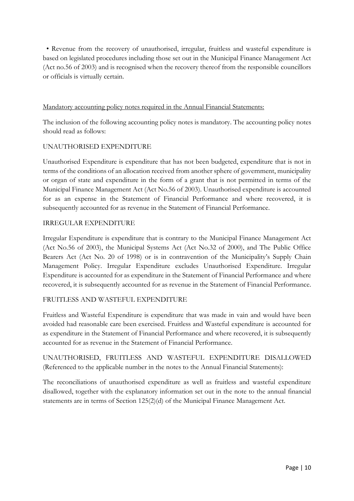• Revenue from the recovery of unauthorised, irregular, fruitless and wasteful expenditure is based on legislated procedures including those set out in the Municipal Finance Management Act (Act no.56 of 2003) and is recognised when the recovery thereof from the responsible councillors or officials is virtually certain.

## Mandatory accounting policy notes required in the Annual Financial Statements:

The inclusion of the following accounting policy notes is mandatory. The accounting policy notes should read as follows:

## UNAUTHORISED EXPENDITURE

Unauthorised Expenditure is expenditure that has not been budgeted, expenditure that is not in terms of the conditions of an allocation received from another sphere of government, municipality or organ of state and expenditure in the form of a grant that is not permitted in terms of the Municipal Finance Management Act (Act No.56 of 2003). Unauthorised expenditure is accounted for as an expense in the Statement of Financial Performance and where recovered, it is subsequently accounted for as revenue in the Statement of Financial Performance.

## IRREGULAR EXPENDITURE

Irregular Expenditure is expenditure that is contrary to the Municipal Finance Management Act (Act No.56 of 2003), the Municipal Systems Act (Act No.32 of 2000), and The Public Office Bearers Act (Act No. 20 of 1998) or is in contravention of the Municipality's Supply Chain Management Policy. Irregular Expenditure excludes Unauthorised Expenditure. Irregular Expenditure is accounted for as expenditure in the Statement of Financial Performance and where recovered, it is subsequently accounted for as revenue in the Statement of Financial Performance.

## FRUITLESS AND WASTEFUL EXPENDITURE

Fruitless and Wasteful Expenditure is expenditure that was made in vain and would have been avoided had reasonable care been exercised. Fruitless and Wasteful expenditure is accounted for as expenditure in the Statement of Financial Performance and where recovered, it is subsequently accounted for as revenue in the Statement of Financial Performance.

UNAUTHORISED, FRUITLESS AND WASTEFUL EXPENDITURE DISALLOWED (Referenced to the applicable number in the notes to the Annual Financial Statements):

The reconciliations of unauthorised expenditure as well as fruitless and wasteful expenditure disallowed, together with the explanatory information set out in the note to the annual financial statements are in terms of Section 125(2)(d) of the Municipal Finance Management Act.